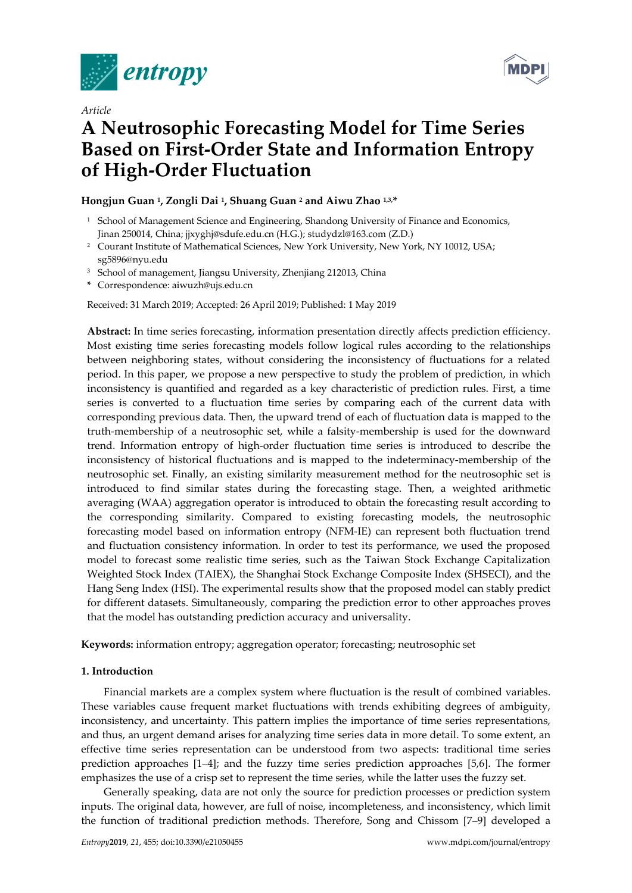

*Article* 



# **A Neutrosophic Forecasting Model for Time Series Based on First-Order State and Information Entropy of High-Order Fluctuation**

# **Hongjun Guan 1, Zongli Dai 1, Shuang Guan 2 and Aiwu Zhao 1,3,\***

- <sup>1</sup> School of Management Science and Engineering, Shandong University of Finance and Economics, Jinan 250014, China; jjxyghj@sdufe.edu.cn (H.G.); studydzl@163.com (Z.D.)
- <sup>2</sup> Courant Institute of Mathematical Sciences, New York University, New York, NY 10012, USA; sg5896@nyu.edu
- 3 School of management, Jiangsu University, Zhenjiang 212013, China
- **\*** Correspondence: aiwuzh@ujs.edu.cn

Received: 31 March 2019; Accepted: 26 April 2019; Published: 1 May 2019

**Abstract:** In time series forecasting, information presentation directly affects prediction efficiency. Most existing time series forecasting models follow logical rules according to the relationships between neighboring states, without considering the inconsistency of fluctuations for a related period. In this paper, we propose a new perspective to study the problem of prediction, in which inconsistency is quantified and regarded as a key characteristic of prediction rules. First, a time series is converted to a fluctuation time series by comparing each of the current data with corresponding previous data. Then, the upward trend of each of fluctuation data is mapped to the truth-membership of a neutrosophic set, while a falsity-membership is used for the downward trend. Information entropy of high-order fluctuation time series is introduced to describe the inconsistency of historical fluctuations and is mapped to the indeterminacy-membership of the neutrosophic set. Finally, an existing similarity measurement method for the neutrosophic set is introduced to find similar states during the forecasting stage. Then, a weighted arithmetic averaging (WAA) aggregation operator is introduced to obtain the forecasting result according to the corresponding similarity. Compared to existing forecasting models, the neutrosophic forecasting model based on information entropy (NFM-IE) can represent both fluctuation trend and fluctuation consistency information. In order to test its performance, we used the proposed model to forecast some realistic time series, such as the Taiwan Stock Exchange Capitalization Weighted Stock Index (TAIEX), the Shanghai Stock Exchange Composite Index (SHSECI), and the Hang Seng Index (HSI). The experimental results show that the proposed model can stably predict for different datasets. Simultaneously, comparing the prediction error to other approaches proves that the model has outstanding prediction accuracy and universality.

**Keywords:** information entropy; aggregation operator; forecasting; neutrosophic set

## **1. Introduction**

Financial markets are a complex system where fluctuation is the result of combined variables. These variables cause frequent market fluctuations with trends exhibiting degrees of ambiguity, inconsistency, and uncertainty. This pattern implies the importance of time series representations, and thus, an urgent demand arises for analyzing time series data in more detail. To some extent, an effective time series representation can be understood from two aspects: traditional time series prediction approaches [1–4]; and the fuzzy time series prediction approaches [5,6]. The former emphasizes the use of a crisp set to represent the time series, while the latter uses the fuzzy set.

Generally speaking, data are not only the source for prediction processes or prediction system inputs. The original data, however, are full of noise, incompleteness, and inconsistency, which limit the function of traditional prediction methods. Therefore, Song and Chissom [7–9] developed a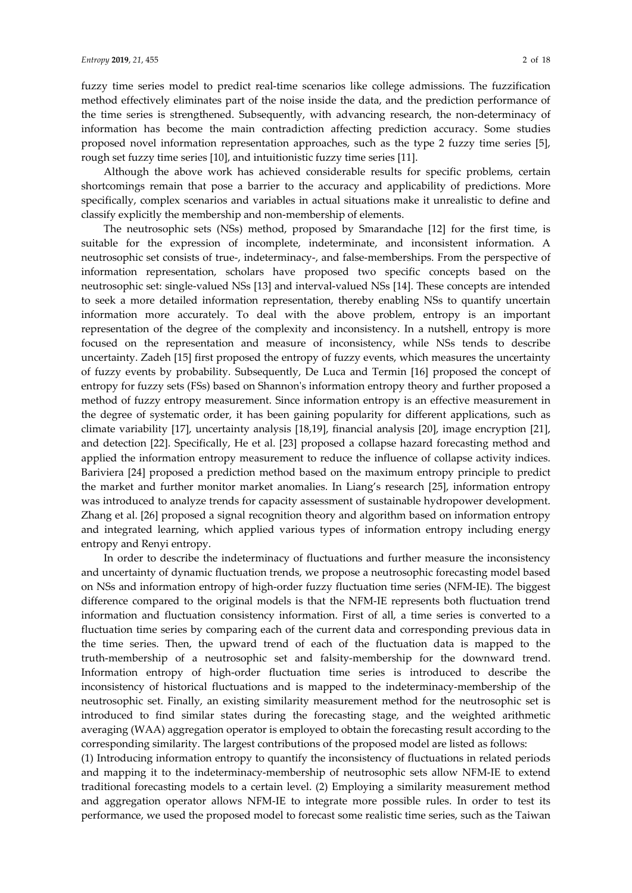fuzzy time series model to predict real-time scenarios like college admissions. The fuzzification method effectively eliminates part of the noise inside the data, and the prediction performance of the time series is strengthened. Subsequently, with advancing research, the non-determinacy of information has become the main contradiction affecting prediction accuracy. Some studies proposed novel information representation approaches, such as the type 2 fuzzy time series [5], rough set fuzzy time series [10], and intuitionistic fuzzy time series [11].

Although the above work has achieved considerable results for specific problems, certain shortcomings remain that pose a barrier to the accuracy and applicability of predictions. More specifically, complex scenarios and variables in actual situations make it unrealistic to define and classify explicitly the membership and non-membership of elements.

The neutrosophic sets (NSs) method, proposed by Smarandache [12] for the first time, is suitable for the expression of incomplete, indeterminate, and inconsistent information. A neutrosophic set consists of true-, indeterminacy-, and false-memberships. From the perspective of information representation, scholars have proposed two specific concepts based on the neutrosophic set: single-valued NSs [13] and interval-valued NSs [14]. These concepts are intended to seek a more detailed information representation, thereby enabling NSs to quantify uncertain information more accurately. To deal with the above problem, entropy is an important representation of the degree of the complexity and inconsistency. In a nutshell, entropy is more focused on the representation and measure of inconsistency, while NSs tends to describe uncertainty. Zadeh [15] first proposed the entropy of fuzzy events, which measures the uncertainty of fuzzy events by probability. Subsequently, De Luca and Termin [16] proposed the concept of entropy for fuzzy sets (FSs) based on Shannon's information entropy theory and further proposed a method of fuzzy entropy measurement. Since information entropy is an effective measurement in the degree of systematic order, it has been gaining popularity for different applications, such as climate variability [17], uncertainty analysis [18,19], financial analysis [20], image encryption [21], and detection [22]. Specifically, He et al. [23] proposed a collapse hazard forecasting method and applied the information entropy measurement to reduce the influence of collapse activity indices. Bariviera [24] proposed a prediction method based on the maximum entropy principle to predict the market and further monitor market anomalies. In Liang's research [25], information entropy was introduced to analyze trends for capacity assessment of sustainable hydropower development. Zhang et al. [26] proposed a signal recognition theory and algorithm based on information entropy and integrated learning, which applied various types of information entropy including energy entropy and Renyi entropy.

In order to describe the indeterminacy of fluctuations and further measure the inconsistency and uncertainty of dynamic fluctuation trends, we propose a neutrosophic forecasting model based on NSs and information entropy of high-order fuzzy fluctuation time series (NFM-IE). The biggest difference compared to the original models is that the NFM-IE represents both fluctuation trend information and fluctuation consistency information. First of all, a time series is converted to a fluctuation time series by comparing each of the current data and corresponding previous data in the time series. Then, the upward trend of each of the fluctuation data is mapped to the truth-membership of a neutrosophic set and falsity-membership for the downward trend. Information entropy of high-order fluctuation time series is introduced to describe the inconsistency of historical fluctuations and is mapped to the indeterminacy-membership of the neutrosophic set. Finally, an existing similarity measurement method for the neutrosophic set is introduced to find similar states during the forecasting stage, and the weighted arithmetic averaging (WAA) aggregation operator is employed to obtain the forecasting result according to the corresponding similarity. The largest contributions of the proposed model are listed as follows:

(1) Introducing information entropy to quantify the inconsistency of fluctuations in related periods and mapping it to the indeterminacy-membership of neutrosophic sets allow NFM-IE to extend traditional forecasting models to a certain level. (2) Employing a similarity measurement method and aggregation operator allows NFM-IE to integrate more possible rules. In order to test its performance, we used the proposed model to forecast some realistic time series, such as the Taiwan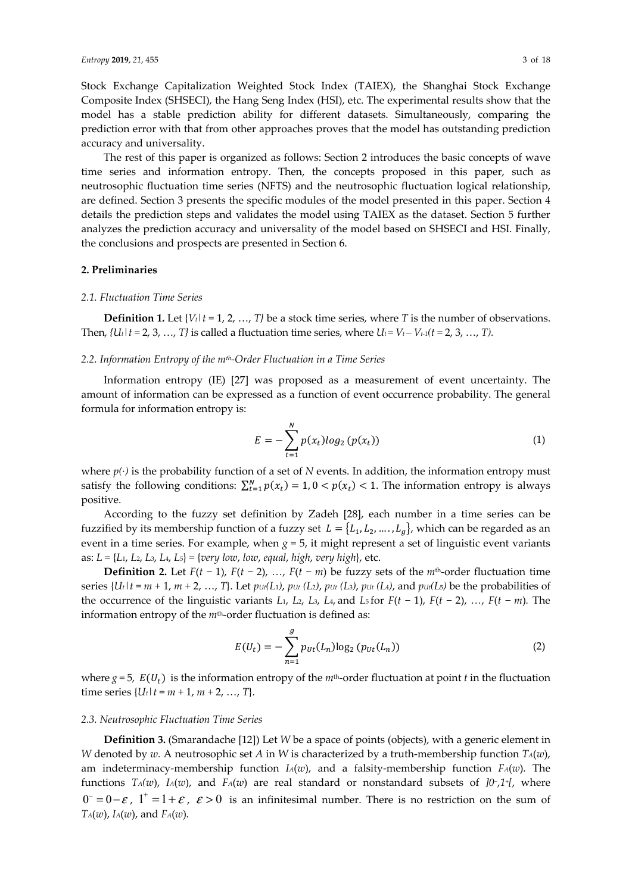Stock Exchange Capitalization Weighted Stock Index (TAIEX), the Shanghai Stock Exchange Composite Index (SHSECI), the Hang Seng Index (HSI), etc. The experimental results show that the model has a stable prediction ability for different datasets. Simultaneously, comparing the prediction error with that from other approaches proves that the model has outstanding prediction accuracy and universality.

The rest of this paper is organized as follows: Section 2 introduces the basic concepts of wave time series and information entropy. Then, the concepts proposed in this paper, such as neutrosophic fluctuation time series (NFTS) and the neutrosophic fluctuation logical relationship, are defined. Section 3 presents the specific modules of the model presented in this paper. Section 4 details the prediction steps and validates the model using TAIEX as the dataset. Section 5 further analyzes the prediction accuracy and universality of the model based on SHSECI and HSI. Finally, the conclusions and prospects are presented in Section 6.

## **2. Preliminaries**

## *2.1. Fluctuation Time Series*

**Definition 1.** Let  ${V_t | t = 1, 2, ..., T}$  be a stock time series, where *T* is the number of observations. Then,  $\{U_t | t = 2, 3, ..., T\}$  is called a fluctuation time series, where  $U_t = V_t - V_{t-1}(t = 2, 3, ..., T)$ .

## *2.2. Information Entropy of the mth-Order Fluctuation in a Time Series*

Information entropy (IE) [27] was proposed as a measurement of event uncertainty. The amount of information can be expressed as a function of event occurrence probability. The general formula for information entropy is:

$$
E = -\sum_{t=1}^{N} p(x_t) \log_2 (p(x_t))
$$
 (1)

where  $p(\cdot)$  is the probability function of a set of *N* events. In addition, the information entropy must satisfy the following conditions:  $\sum_{t=1}^{N} p(x_t) = 1, 0 < p(x_t) < 1$ . The information entropy is always positive.

According to the fuzzy set definition by Zadeh [28], each number in a time series can be fuzzified by its membership function of a fuzzy set  $L = \{L_1, L_2, ..., L_g\}$ , which can be regarded as an event in a time series. For example, when  $g = 5$ , it might represent a set of linguistic event variants as: *L =* {*L*1, *L*2, *L*3, *L*4, *L*5} *=* {*very low*, *low*, *equal*, *high*, *very high*}, etc.

**Definition 2.** Let  $F(t-1)$ ,  $F(t-2)$ , …,  $F(t-m)$  be fuzzy sets of the  $m<sup>th</sup>$ -order fluctuation time series  $\{U_t | t = m + 1, m + 2, \ldots, T\}$ . Let  $pu_t(L_1)$ ,  $pu_t(L_2)$ ,  $pu_t(L_3)$ ,  $pu_t(L_4)$ , and  $pu_t(L_5)$  be the probabilities of the occurrence of the linguistic variants *L*1, *L*2, *L*3, *L*4, and *L*<sup>5</sup> for *F*(*t* − 1), *F*(*t* − 2), *…*, *F*(*t* − *m*)*.* The information entropy of the *m*<sup>th</sup>-order fluctuation is defined as:

$$
E(U_t) = -\sum_{n=1}^{g} p_{Ut}(L_n) \log_2 (p_{Ut}(L_n))
$$
\n(2)

where  $g = 5$ ,  $E(U_t)$  is the information entropy of the *m*<sup>th</sup>-order fluctuation at point *t* in the fluctuation time series  $\{U_t | t = m + 1, m + 2, ..., T\}.$ 

## *2.3. Neutrosophic Fluctuation Time Series*

**Definition 3.** (Smarandache [12]) Let *W* be a space of points (objects), with a generic element in *W* denoted by *w.* A neutrosophic set *A* in *W* is characterized by a truth-membership function  $T_A(w)$ , am indeterminacy-membership function *IA*(*w*), and a falsity-membership function *FA*(*w*)*.* The functions *TA(w*), *IA*(*w*), and *FA*(*w*) are real standard or nonstandard subsets of *]0−*,*1+[*, where  $0^- = 0 - \varepsilon$ ,  $1^+ = 1 + \varepsilon$ ,  $\varepsilon > 0$  is an infinitesimal number. There is no restriction on the sum of *TA*(*w*), *IA*(*w*), and *FA*(*w*)*.*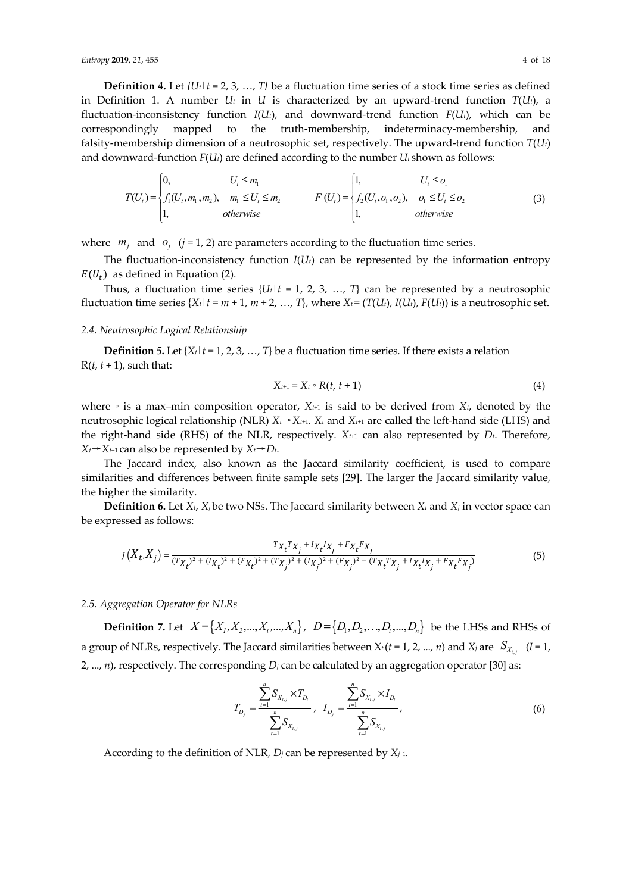**Definition 4.** Let  $\{U_t | t = 2, 3, ..., T\}$  be a fluctuation time series of a stock time series as defined in Definition 1. A number *Ut* in *U* is characterized by an upward-trend function *T*(*Ut*), a fluctuation-inconsistency function *I*(*Ut*), and downward-trend function *F*(*Ut*), which can be correspondingly mapped to the truth-membership, indeterminacy-membership, and falsity-membership dimension of a neutrosophic set, respectively. The upward-trend function *T*(*Ut*) and downward-function  $F(U_t)$  are defined according to the number  $U_t$  shown as follows:

$$
T(U_{t}) = \begin{cases} 0, & U_{t} \le m_{1} \\ f_{1}(U_{t}, m_{1}, m_{2}), & m_{1} \le U_{t} \le m_{2} \\ 1, & otherwise \end{cases} \qquad F(U_{t}) = \begin{cases} 1, & U_{t} \le o_{1} \\ f_{2}(U_{t}, o_{1}, o_{2}), & o_{1} \le U_{t} \le o_{2} \\ 1, & otherwise \end{cases}
$$
(3)

where  $m_i$  and  $o_i$  ( $j = 1, 2$ ) are parameters according to the fluctuation time series.

The fluctuation-inconsistency function *I*(*Ut*) can be represented by the information entropy  $E(U_t)$  as defined in Equation (2).

Thus, a fluctuation time series  ${U_t | t = 1, 2, 3, ..., T}$  can be represented by a neutrosophic fluctuation time series  $\{X_t | t = m + 1, m + 2, \ldots, T\}$ , where  $X_t = (T(U_t), I(U_t), F(U_t))$  is a neutrosophic set.

#### *2.4. Neutrosophic Logical Relationship*

**Definition** 5. Let  $\{X_t | t = 1, 2, 3, ..., T\}$  be a fluctuation time series. If there exists a relation  $R(t, t + 1)$ , such that:

$$
X_{t+1} = X_t \circ R(t, t+1) \tag{4}
$$

where  $\circ$  is a max–min composition operator,  $X_{t+1}$  is said to be derived from  $X_t$ , denoted by the neutrosophic logical relationship (NLR) *Xt*→*Xt*+1. *Xt* and *Xt*+1 are called the left-hand side (LHS) and the right-hand side (RHS) of the NLR, respectively.  $X_{t+1}$  can also represented by  $D_t$ . Therefore, *X*<sup>*t*→</sup>*X*<sup>*t*+1</sub> can also be represented by *X*<sup>*t*→</sup>*Dt*.</sup>

The Jaccard index, also known as the Jaccard similarity coefficient, is used to compare similarities and differences between finite sample sets [29]. The larger the Jaccard similarity value, the higher the similarity.

**Definition 6.** Let  $X_t$ ,  $X_j$  be two NSs. The Jaccard similarity between  $X_t$  and  $X_j$  in vector space can be expressed as follows:

$$
J(X_t, X_j) = \frac{r_{X_t} r_{X_j} + r_{X_t} r_{X_j}}{(r_{X_t})^2 + (r_{X_t})^2 + (r_{X_t})^2 + (r_{X_j})^2 + (r_{X_j})^2 + (r_{X_j})^2 + (r_{X_j})^2 - (r_{X_t} r_{X_j} + r_{X_t} r_{X_j})}
$$
(5)

#### *2.5. Aggregation Operator for NLRs*

**Definition 7.** Let  $X = \{X_1, X_2, ..., X_t, ..., X_n\}$ ,  $D = \{D_1, D_2, ..., D_t, ..., D_n\}$  be the LHSs and RHSs of a group of NLRs, respectively. The Jaccard similarities between  $X_t$  ( $t = 1, 2, ..., n$ ) and  $X_j$  are  $S_{X_{t,j}}$  ( $I = 1,$ 2, ..., *n*), respectively. The corresponding *Dj* can be calculated by an aggregation operator [30] as:

$$
T_{D_j} = \frac{\sum_{t=1}^{n} S_{X_{t,j}} \times T_{D_t}}{\sum_{t=1}^{n} S_{X_{t,j}}} , \quad I_{D_j} = \frac{\sum_{t=1}^{n} S_{X_{t,j}} \times I_{D_t}}{\sum_{t=1}^{n} S_{X_{t,j}}} , \tag{6}
$$

According to the definition of NLR,  $D_i$  can be represented by  $X_{i+1}$ .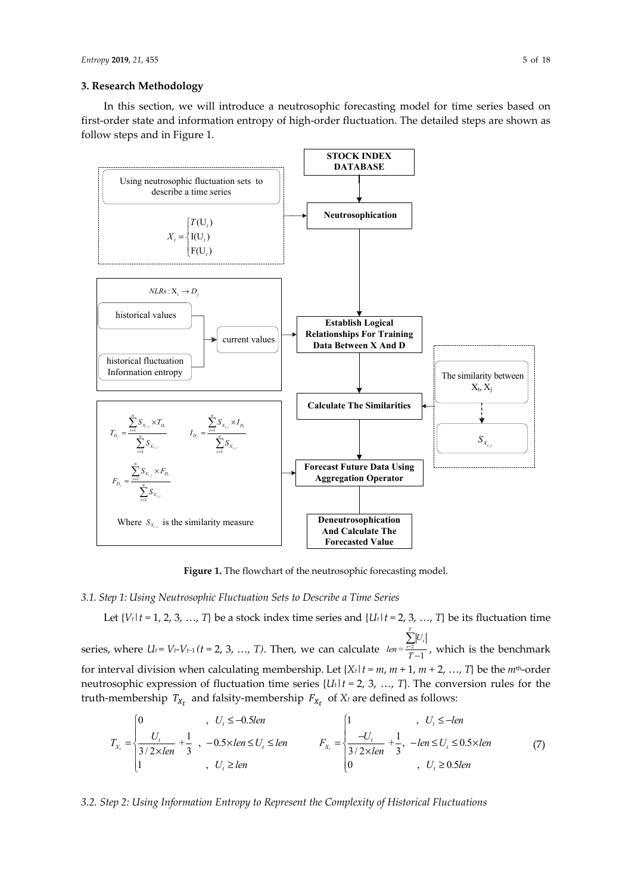#### **3. Research Methodology**

In this section, we will introduce a neutrosophic forecasting model for time series based on first-order state and information entropy of high-order fluctuation. The detailed steps are shown as follow steps and in Figure 1.



Figure 1. The flowchart of the neutrosophic forecasting model.

#### *3.1. Step 1: Using Neutrosophic Fluctuation Sets to Describe a Time Series*

Let  $\{V_t | t = 1, 2, 3, ..., T\}$  be a stock index time series and  $\{U_t | t = 2, 3, ..., T\}$  be its fluctuation time series, where  $U_t = V_t - V_{t-1}$  ( $t = 2, 3, ..., T$ ). Then, we can calculate  $len = \frac{t-2}{T-1}$ *T*  $\sum_{t=2}$ <sup>U</sup>  $len = \frac{t=2}{T-1}$  $\sum$ , which is the benchmark for interval division when calculating membership. Let  ${X_t | t = m, m + 1, m + 2, ..., T}$  be the  $m<sup>th</sup>$ -order neutrosophic expression of fluctuation time series {*U*t*|t =* 2, 3, …, *T*}*.* The conversion rules for the truth-membership  $T_{X_t}$  and falsity-membership  $F_{X_t}$  of  $X_t$  are defined as follows:

$$
T_{X_t} = \begin{cases} 0 & , \quad U_t \le -0.5len \\ \frac{U_t}{3/2 \times len} + \frac{1}{3} & , \quad -0.5 \times len \le U_t \le len \\ 1 & , \quad U_t \ge len \end{cases} \qquad F_{X_t} = \begin{cases} 1 & , \quad U_t \le -len \\ \frac{-U_t}{3/2 \times len} + \frac{1}{3} & , \quad -len \le U_t \le 0.5 \times len \\ 0 & , \quad U_t \ge 0.5len \end{cases} \tag{7}
$$

#### *3.2. Step 2: Using Information Entropy to Represent the Complexity of Historical Fluctuations*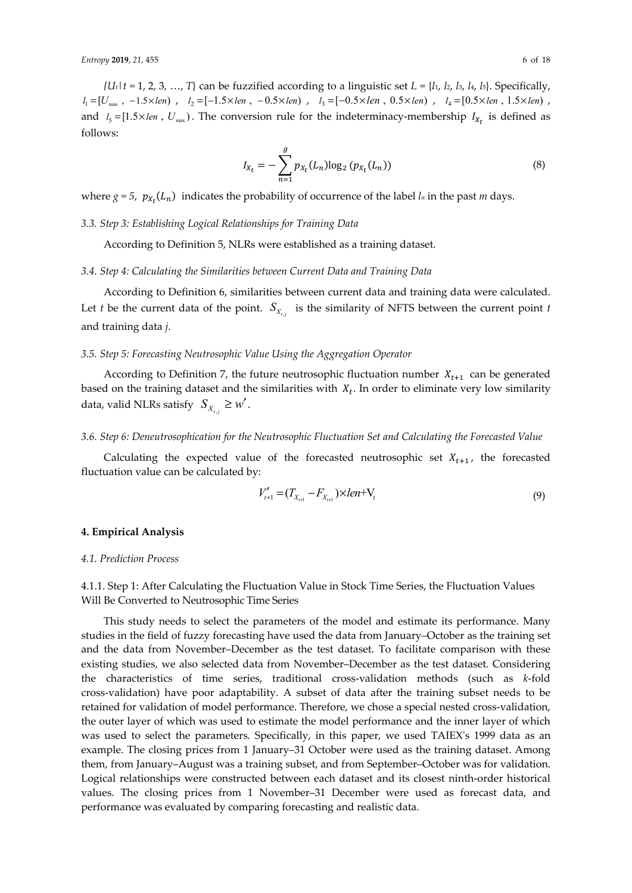${U_t | t = 1, 2, 3, ..., T}$  can be fuzzified according to a linguistic set  $L = {l_1, l_2, l_3, l_4, l_5}$ . Specifically,  $l_1 = [U_{\min}, -1.5 \times len)$ ,  $l_2 = [-1.5 \times len, -0.5 \times len)$ ,  $l_3 = [-0.5 \times len, 0.5 \times len)$ ,  $l_4 = [0.5 \times len, 1.5 \times len)$ , and  $l_5 = [1.5 \times len, U_{max})$ . The conversion rule for the indeterminacy-membership  $I_{X_t}$  is defined as follows:

$$
I_{X_t} = -\sum_{n=1}^{g} p_{X_t}(L_n) \log_2 (p_{X_t}(L_n))
$$
\n(8)

where  $g = 5$ ,  $p_{X_t}(L_n)$  indicates the probability of occurrence of the label  $l_n$  in the past  $m$  days.

#### *3.3. Step 3: Establishing Logical Relationships for Training Data*

According to Definition 5, NLRs were established as a training dataset.

## *3.4. Step 4: Calculating the Similarities between Current Data and Training Data*

According to Definition 6, similarities between current data and training data were calculated. Let *t* be the current data of the point.  $S_{X_{i,j}}$  is the similarity of NFTS between the current point *t* and training data *j*.

## *3.5. Step 5: Forecasting Neutrosophic Value Using the Aggregation Operator*

According to Definition 7, the future neutrosophic fluctuation number  $X_{t+1}$  can be generated based on the training dataset and the similarities with  $X_t$ . In order to eliminate very low similarity data, valid NLRs satisfy  $S_{X_{i,j}} \geq w'$ .

#### *3.6. Step 6: Deneutrosophication for the Neutrosophic Fluctuation Set and Calculating the Forecasted Value*

Calculating the expected value of the forecasted neutrosophic set  $X_{t+1}$ , the forecasted fluctuation value can be calculated by:

$$
V'_{t+1} = (T_{X_{t+1}} - F_{X_{t+1}}) \times len + V_t
$$
\n(9)

#### **4. Empirical Analysis**

#### *4.1. Prediction Process*

4.1.1. Step 1: After Calculating the Fluctuation Value in Stock Time Series, the Fluctuation Values Will Be Converted to Neutrosophic Time Series

This study needs to select the parameters of the model and estimate its performance. Many studies in the field of fuzzy forecasting have used the data from January–October as the training set and the data from November–December as the test dataset. To facilitate comparison with these existing studies, we also selected data from November–December as the test dataset. Considering the characteristics of time series, traditional cross-validation methods (such as *k*-fold cross-validation) have poor adaptability. A subset of data after the training subset needs to be retained for validation of model performance. Therefore, we chose a special nested cross-validation, the outer layer of which was used to estimate the model performance and the inner layer of which was used to select the parameters. Specifically, in this paper, we used TAIEX's 1999 data as an example. The closing prices from 1 January–31 October were used as the training dataset. Among them, from January–August was a training subset, and from September–October was for validation. Logical relationships were constructed between each dataset and its closest ninth-order historical values. The closing prices from 1 November–31 December were used as forecast data, and performance was evaluated by comparing forecasting and realistic data.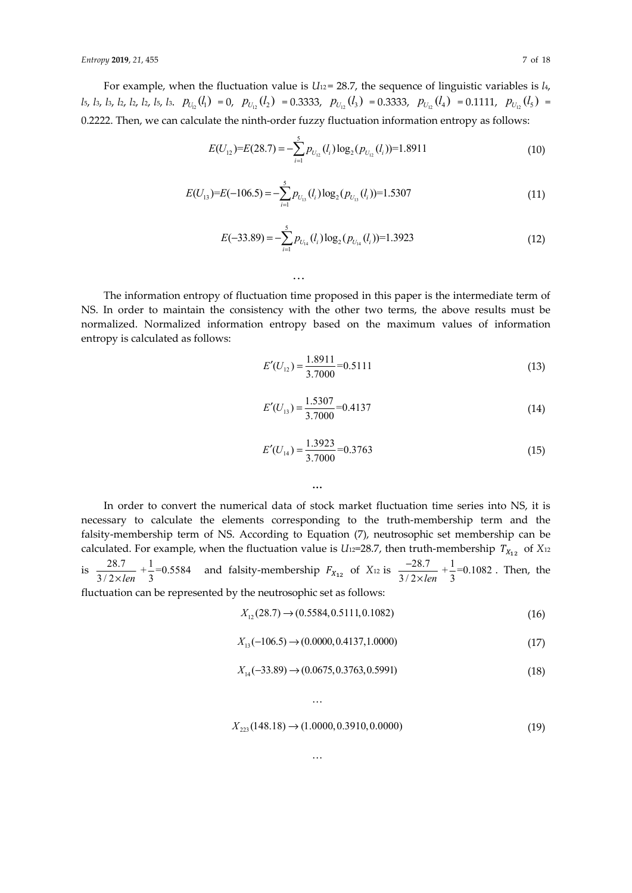#### *Entropy* **2019**, 21, 455 7 of 18

For example, when the fluctuation value is  $U_{12} = 28.7$ , the sequence of linguistic variables is  $l_4$ ,  $l_5$ ,  $l_3$ ,  $l_3$ ,  $l_2$ ,  $l_2$ ,  $l_5$ ,  $l_3$ .  $p_{U_{12}}(l_1) = 0$ ,  $p_{U_{12}}(l_2) = 0.3333$ ,  $p_{U_{12}}(l_3) = 0.3333$ ,  $p_{U_{12}}(l_4) = 0.1111$ ,  $p_{U_{12}}(l_5) =$ 0.2222. Then, we can calculate the ninth-order fuzzy fluctuation information entropy as follows:

$$
E(U_{12})=E(28.7)=-\sum_{i=1}^{5}p_{U_{12}}(l_i)\log_2(p_{U_{12}}(l_i))=1.8911
$$
\n(10)

$$
E(U_{13})=E(-106.5)=-\sum_{i=1}^{5}p_{U_{13}}(l_i)\log_2(p_{U_{13}}(l_i))=1.5307
$$
\n(11)

$$
E(-33.89) = -\sum_{i=1}^{5} p_{U_{14}}(l_i) \log_2(p_{U_{14}}(l_i)) = 1.3923
$$
 (12)

The information entropy of fluctuation time proposed in this paper is the intermediate term of NS. In order to maintain the consistency with the other two terms, the above results must be normalized. Normalized information entropy based on the maximum values of information entropy is calculated as follows:

…

$$
E'(U_{12}) = \frac{1.8911}{3.7000} = 0.5111
$$
\n(13)

$$
E'(U_{13}) = \frac{1.5307}{3.7000} = 0.4137
$$
\n(14)

$$
E'(U_{14}) = \frac{1.3923}{3.7000} = 0.3763
$$
\n(15)

In order to convert the numerical data of stock market fluctuation time series into NS, it is necessary to calculate the elements corresponding to the truth-membership term and the falsity-membership term of NS. According to Equation (7), neutrosophic set membership can be calculated. For example, when the fluctuation value is *U*12=28.7, then truth-membership  $T_{X_{12}}$  of  $X_{12}$ is  $\frac{28.7}{3/2 \times len} + \frac{1}{3} = 0.5584$  and falsity-membership  $F_{X_{12}}$  of  $X_{12}$  is  $\frac{-28.7}{3/2 \times len} + \frac{1}{3} = 0.1082$ −  $\frac{3!}{\times len} + \frac{1}{3} = 0.1082$ . Then, the fluctuation can be represented by the neutrosophic set as follows:

**…**

 $X_{12}(28.7) \rightarrow (0.5584, 0.5111, 0.1082)$  (16)

$$
X_{13}(-106.5) \to (0.0000, 0.4137, 1.0000) \tag{17}
$$

$$
X_{14}(-33.89) \rightarrow (0.0675, 0.3763, 0.5991)
$$
\n
$$
(18)
$$

$$
f_{\rm{max}}
$$

$$
X_{223}(148.18) \to (1.0000, 0.3910, 0.0000) \tag{19}
$$

…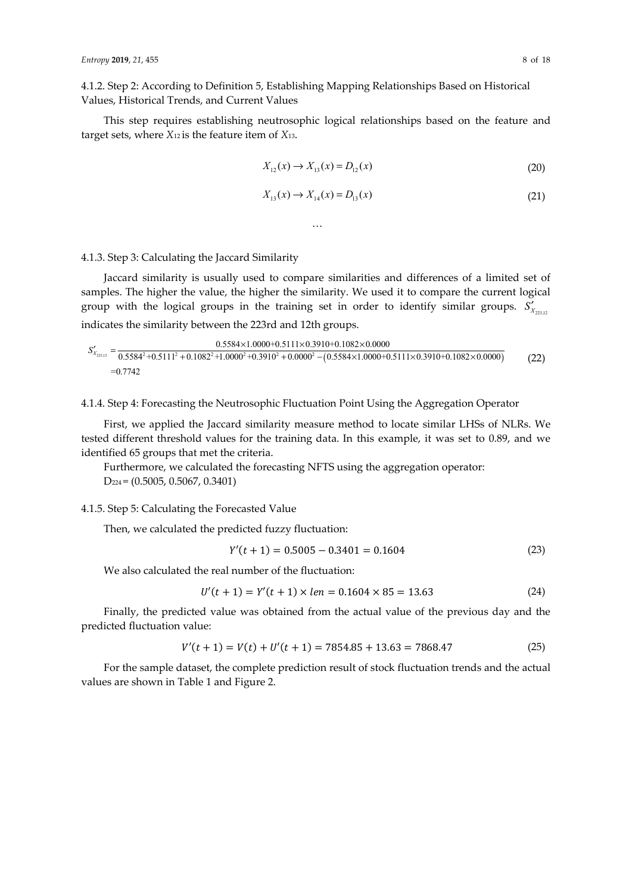4.1.2. Step 2: According to Definition 5, Establishing Mapping Relationships Based on Historical Values, Historical Trends, and Current Values

This step requires establishing neutrosophic logical relationships based on the feature and target sets, where *X*12 is the feature item of *X*13.

$$
X_{12}(x) \to X_{13}(x) = D_{12}(x) \tag{20}
$$

$$
X_{13}(x) \to X_{14}(x) = D_{13}(x) \tag{21}
$$

…

## 4.1.3. Step 3: Calculating the Jaccard Similarity

Jaccard similarity is usually used to compare similarities and differences of a limited set of samples. The higher the value, the higher the similarity. We used it to compare the current logical group with the logical groups in the training set in order to identify similar groups.  $S'_{X_{min}}$ indicates the similarity between the 223rd and 12th groups.

$$
S'_{X_{223,12}} = \frac{0.5584 \times 1.0000 + 0.5111 \times 0.3910 + 0.1082 \times 0.0000}{0.5584^2 + 0.5111^2 + 0.1082^2 + 1.0000^2 + 0.3910^2 + 0.0000^2 - (0.5584 \times 1.0000 + 0.5111 \times 0.3910 + 0.1082 \times 0.0000)} \tag{22}
$$

#### 4.1.4. Step 4: Forecasting the Neutrosophic Fluctuation Point Using the Aggregation Operator

First, we applied the Jaccard similarity measure method to locate similar LHSs of NLRs. We tested different threshold values for the training data. In this example, it was set to 0.89, and we identified 65 groups that met the criteria.

Furthermore, we calculated the forecasting NFTS using the aggregation operator: D224 = (0.5005, 0.5067, 0.3401)

## 4.1.5. Step 5: Calculating the Forecasted Value

Then, we calculated the predicted fuzzy fluctuation:

$$
Y'(t+1) = 0.5005 - 0.3401 = 0.1604
$$
\n(23)

We also calculated the real number of the fluctuation:

$$
U'(t + 1) = Y'(t + 1) \times len = 0.1604 \times 85 = 13.63
$$
\n(24)

Finally, the predicted value was obtained from the actual value of the previous day and the predicted fluctuation value:

$$
V'(t+1) = V(t) + U'(t+1) = 7854.85 + 13.63 = 7868.47
$$
\n(25)

For the sample dataset, the complete prediction result of stock fluctuation trends and the actual values are shown in Table 1 and Figure 2.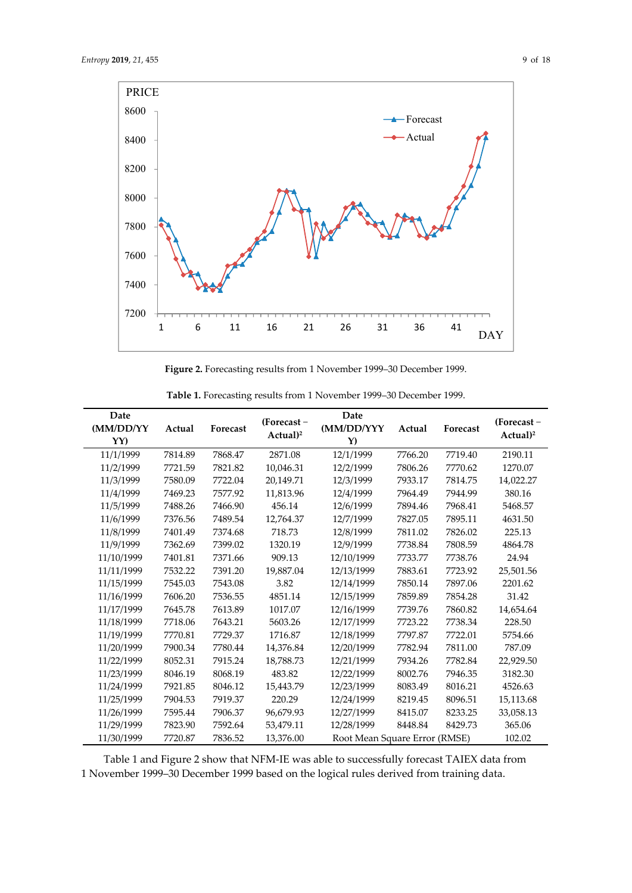

Figure 2. Forecasting results from 1 November 1999-30 December 1999.

| Date<br>(MM/DD/YY<br>YY) | Actual  | <b>Forecast</b> | $(Forecast -$<br>Actual) <sup>2</sup> | Date<br>(MM/DD/YYY<br>$\mathbf{Y}$ | Actual  | Forecast | $(Forecast -$<br>Actual) <sup>2</sup> |
|--------------------------|---------|-----------------|---------------------------------------|------------------------------------|---------|----------|---------------------------------------|
| 11/1/1999                | 7814.89 | 7868.47         | 2871.08                               | 12/1/1999                          | 7766.20 | 7719.40  | 2190.11                               |
| 11/2/1999                | 7721.59 | 7821.82         | 10,046.31                             | 12/2/1999                          | 7806.26 | 7770.62  | 1270.07                               |
| 11/3/1999                | 7580.09 | 7722.04         | 20,149.71                             | 12/3/1999                          | 7933.17 | 7814.75  | 14,022.27                             |
| 11/4/1999                | 7469.23 | 7577.92         | 11,813.96                             | 12/4/1999                          | 7964.49 | 7944.99  | 380.16                                |
| 11/5/1999                | 7488.26 | 7466.90         | 456.14                                | 12/6/1999                          | 7894.46 | 7968.41  | 5468.57                               |
| 11/6/1999                | 7376.56 | 7489.54         | 12,764.37                             | 12/7/1999                          | 7827.05 | 7895.11  | 4631.50                               |
| 11/8/1999                | 7401.49 | 7374.68         | 718.73                                | 12/8/1999                          | 7811.02 | 7826.02  | 225.13                                |
| 11/9/1999                | 7362.69 | 7399.02         | 1320.19                               | 12/9/1999                          | 7738.84 | 7808.59  | 4864.78                               |
| 11/10/1999               | 7401.81 | 7371.66         | 909.13                                | 12/10/1999                         | 7733.77 | 7738.76  | 24.94                                 |
| 11/11/1999               | 7532.22 | 7391.20         | 19,887.04                             | 12/13/1999                         | 7883.61 | 7723.92  | 25,501.56                             |
| 11/15/1999               | 7545.03 | 7543.08         | 3.82                                  | 12/14/1999                         | 7850.14 | 7897.06  | 2201.62                               |
| 11/16/1999               | 7606.20 | 7536.55         | 4851.14                               | 12/15/1999                         | 7859.89 | 7854.28  | 31.42                                 |
| 11/17/1999               | 7645.78 | 7613.89         | 1017.07                               | 12/16/1999                         | 7739.76 | 7860.82  | 14,654.64                             |
| 11/18/1999               | 7718.06 | 7643.21         | 5603.26                               | 12/17/1999                         | 7723.22 | 7738.34  | 228.50                                |
| 11/19/1999               | 7770.81 | 7729.37         | 1716.87                               | 12/18/1999                         | 7797.87 | 7722.01  | 5754.66                               |
| 11/20/1999               | 7900.34 | 7780.44         | 14,376.84                             | 12/20/1999                         | 7782.94 | 7811.00  | 787.09                                |
| 11/22/1999               | 8052.31 | 7915.24         | 18,788.73                             | 12/21/1999                         | 7934.26 | 7782.84  | 22,929.50                             |
| 11/23/1999               | 8046.19 | 8068.19         | 483.82                                | 12/22/1999                         | 8002.76 | 7946.35  | 3182.30                               |
| 11/24/1999               | 7921.85 | 8046.12         | 15,443.79                             | 12/23/1999                         | 8083.49 | 8016.21  | 4526.63                               |
| 11/25/1999               | 7904.53 | 7919.37         | 220.29                                | 12/24/1999                         | 8219.45 | 8096.51  | 15,113.68                             |
| 11/26/1999               | 7595.44 | 7906.37         | 96,679.93                             | 12/27/1999                         | 8415.07 | 8233.25  | 33,058.13                             |
| 11/29/1999               | 7823.90 | 7592.64         | 53,479.11                             | 12/28/1999                         | 8448.84 | 8429.73  | 365.06                                |
| 11/30/1999               | 7720.87 | 7836.52         | 13,376.00                             | Root Mean Square Error (RMSE)      |         |          | 102.02                                |

**Table 1.** Forecasting results from 1 November 1999–30 December 1999.

Table 1 and Figure 2 show that NFM-IE was able to successfully forecast TAIEX data from 1 November 1999–30 December 1999 based on the logical rules derived from training data.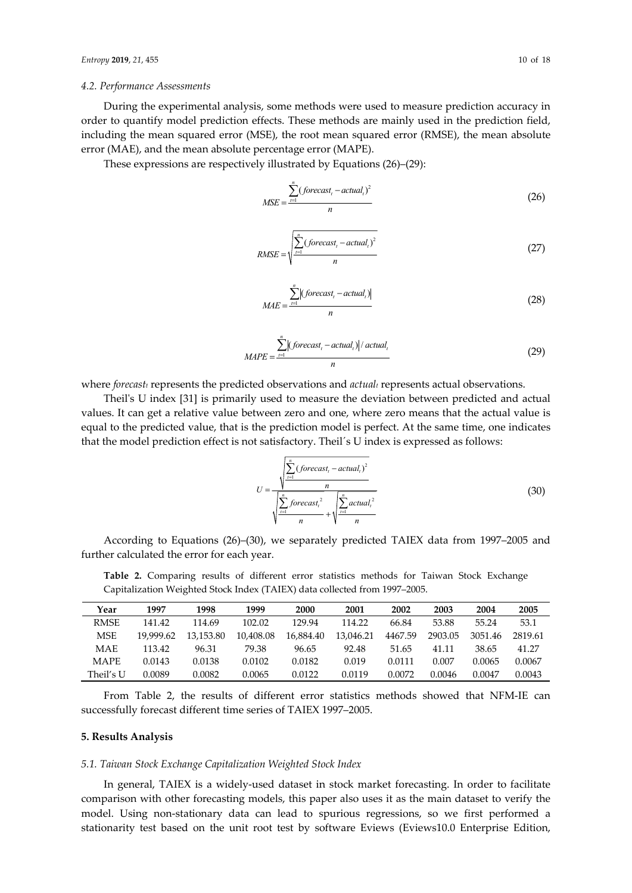#### *4.2. Performance Assessments*

During the experimental analysis, some methods were used to measure prediction accuracy in order to quantify model prediction effects. These methods are mainly used in the prediction field, including the mean squared error (MSE), the root mean squared error (RMSE), the mean absolute error (MAE), and the mean absolute percentage error (MAPE).

These expressions are respectively illustrated by Equations (26)–(29):

$$
MSE = \frac{\sum_{t=1}^{n} (forecast_t - actual_t)^2}{n}
$$
 (26)

$$
RMSE = \sqrt{\frac{\sum_{t=1}^{n} (forecast_t - actual_t)^2}{n}}
$$
 (27)

$$
MAE = \frac{\sum_{t=1}^{n} |(forecast_t - actual_t)|}{n}
$$
 (28)

$$
MAPE = \frac{\sum_{i=1}^{n} |(forecast_i - actual_i)| / actual_i}{n}
$$
 (29)

where *forecast<sub>i</sub>* represents the predicted observations and *actual<sub>t</sub>* represents actual observations.

Theil's U index [31] is primarily used to measure the deviation between predicted and actual values. It can get a relative value between zero and one, where zero means that the actual value is equal to the predicted value, that is the prediction model is perfect. At the same time, one indicates that the model prediction effect is not satisfactory. Theil´s U index is expressed as follows:

$$
U = \frac{\sqrt{\sum_{i=1}^{n} (forecast_i - actual_i)^2}}{n}
$$
  

$$
\sqrt{\frac{\sum_{i=1}^{n} forecast_i^2}{n} + \sqrt{\sum_{i=1}^{n} actual_i^2}}
$$
 (30)

According to Equations (26)–(30), we separately predicted TAIEX data from 1997–2005 and further calculated the error for each year.

**Table 2.** Comparing results of different error statistics methods for Taiwan Stock Exchange Capitalization Weighted Stock Index (TAIEX) data collected from 1997–2005.

| Year        | 1997      | 1998      | 1999      | 2000      | <b>2001</b> | 2002    | 2003    | 2004    | 2005    |
|-------------|-----------|-----------|-----------|-----------|-------------|---------|---------|---------|---------|
| <b>RMSE</b> | 141.42    | 114.69    | 102.02    | 129.94    | 114.22      | 66.84   | 53.88   | 55.24   | 53.1    |
| MSE         | 19.999.62 | 13.153.80 | 10.408.08 | 16.884.40 | 13.046.21   | 4467.59 | 2903.05 | 3051.46 | 2819.61 |
| MAE         | 113.42    | 96.31     | 79.38     | 96.65     | 92.48       | 51.65   | 41.11   | 38.65   | 41.27   |
| <b>MAPE</b> | 0.0143    | 0.0138    | 0.0102    | 0.0182    | 0.019       | 0.0111  | 0.007   | 0.0065  | 0.0067  |
| Theil's U   | 0.0089    | 0.0082    | 0.0065    | 0.0122    | 0.0119      | 0.0072  | 0.0046  | 0.0047  | 0.0043  |

From Table 2, the results of different error statistics methods showed that NFM-IE can successfully forecast different time series of TAIEX 1997–2005.

#### **5. Results Analysis**

#### *5.1. Taiwan Stock Exchange Capitalization Weighted Stock Index*

In general, TAIEX is a widely-used dataset in stock market forecasting. In order to facilitate comparison with other forecasting models, this paper also uses it as the main dataset to verify the model. Using non-stationary data can lead to spurious regressions, so we first performed a stationarity test based on the unit root test by software Eviews (Eviews10.0 Enterprise Edition,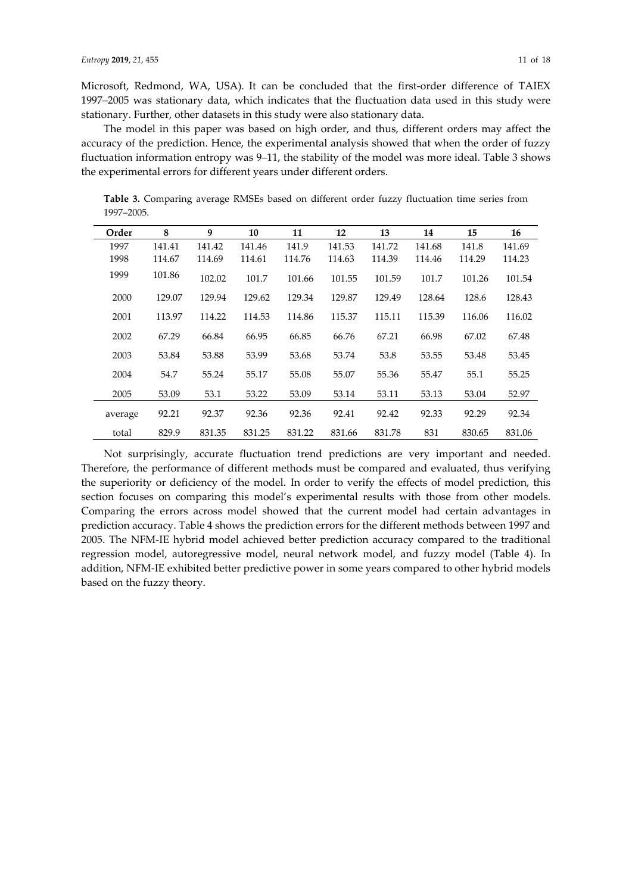Microsoft, Redmond, WA, USA). It can be concluded that the first-order difference of TAIEX 1997–2005 was stationary data, which indicates that the fluctuation data used in this study were stationary. Further, other datasets in this study were also stationary data.

The model in this paper was based on high order, and thus, different orders may affect the accuracy of the prediction. Hence, the experimental analysis showed that when the order of fuzzy fluctuation information entropy was 9–11, the stability of the model was more ideal. Table 3 shows the experimental errors for different years under different orders.

**Table 3.** Comparing average RMSEs based on different order fuzzy fluctuation time series from 1997–2005.

| Order   | 8      | 9      | 10     | 11     | 12     | 13     | 14     | 15     | 16     |
|---------|--------|--------|--------|--------|--------|--------|--------|--------|--------|
| 1997    | 141.41 | 141.42 | 141.46 | 141.9  | 141.53 | 141.72 | 141.68 | 141.8  | 141.69 |
| 1998    | 114.67 | 114.69 | 114.61 | 114.76 | 114.63 | 114.39 | 114.46 | 114.29 | 114.23 |
| 1999    | 101.86 | 102.02 | 101.7  | 101.66 | 101.55 | 101.59 | 101.7  | 101.26 | 101.54 |
| 2000    | 129.07 | 129.94 | 129.62 | 129.34 | 129.87 | 129.49 | 128.64 | 128.6  | 128.43 |
| 2001    | 113.97 | 114.22 | 114.53 | 114.86 | 115.37 | 115.11 | 115.39 | 116.06 | 116.02 |
| 2002    | 67.29  | 66.84  | 66.95  | 66.85  | 66.76  | 67.21  | 66.98  | 67.02  | 67.48  |
| 2003    | 53.84  | 53.88  | 53.99  | 53.68  | 53.74  | 53.8   | 53.55  | 53.48  | 53.45  |
| 2004    | 54.7   | 55.24  | 55.17  | 55.08  | 55.07  | 55.36  | 55.47  | 55.1   | 55.25  |
| 2005    | 53.09  | 53.1   | 53.22  | 53.09  | 53.14  | 53.11  | 53.13  | 53.04  | 52.97  |
| average | 92.21  | 92.37  | 92.36  | 92.36  | 92.41  | 92.42  | 92.33  | 92.29  | 92.34  |
| total   | 829.9  | 831.35 | 831.25 | 831.22 | 831.66 | 831.78 | 831    | 830.65 | 831.06 |

Not surprisingly, accurate fluctuation trend predictions are very important and needed. Therefore, the performance of different methods must be compared and evaluated, thus verifying the superiority or deficiency of the model. In order to verify the effects of model prediction, this section focuses on comparing this model's experimental results with those from other models. Comparing the errors across model showed that the current model had certain advantages in prediction accuracy. Table 4 shows the prediction errors for the different methods between 1997 and 2005. The NFM-IE hybrid model achieved better prediction accuracy compared to the traditional regression model, autoregressive model, neural network model, and fuzzy model (Table 4). In addition, NFM-IE exhibited better predictive power in some years compared to other hybrid models based on the fuzzy theory.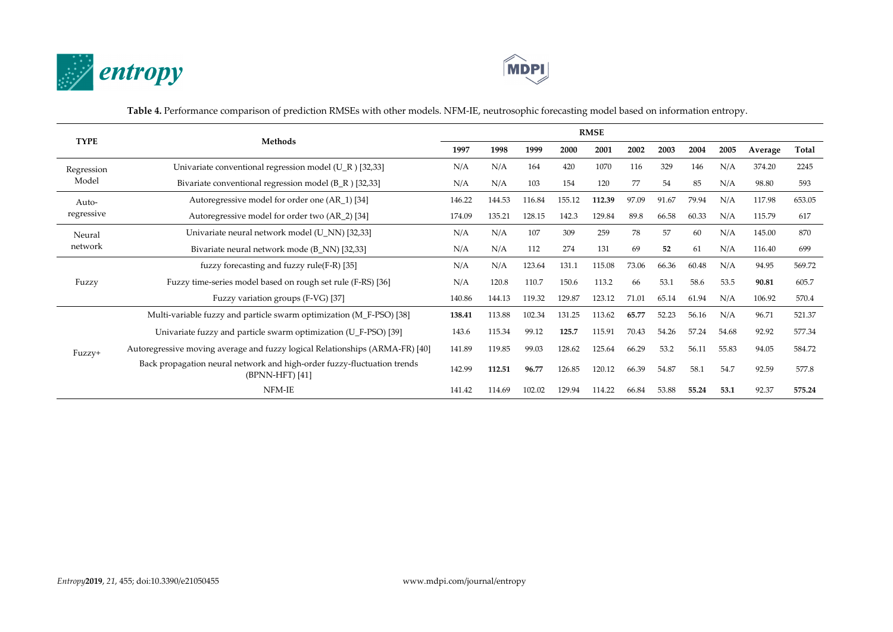



**Table 4.** Performance comparison of prediction RMSEs with other models. NFM-IE, neutrosophic forecasting model based on information entropy.

| <b>TYPE</b>                                              | Methods                                                                                      | <b>RMSE</b> |        |        |        |        |       |       |       |       |         |        |
|----------------------------------------------------------|----------------------------------------------------------------------------------------------|-------------|--------|--------|--------|--------|-------|-------|-------|-------|---------|--------|
|                                                          |                                                                                              | 1997        | 1998   | 1999   | 2000   | 2001   | 2002  | 2003  | 2004  | 2005  | Average | Total  |
| Regression                                               | Univariate conventional regression model $(U_R)$ [32,33]                                     | N/A         | N/A    | 164    | 420    | 1070   | 116   | 329   | 146   | N/A   | 374.20  | 2245   |
| Model                                                    | Bivariate conventional regression model $(B_R)$ [32,33]                                      | N/A         | N/A    | 103    | 154    | 120    | 77    | 54    | 85    | N/A   | 98.80   | 593    |
| Auto-                                                    | Autoregressive model for order one (AR_1) [34]                                               | 146.22      | 144.53 | 116.84 | 155.12 | 112.39 | 97.09 | 91.67 | 79.94 | N/A   | 117.98  | 653.05 |
| regressive                                               | Autoregressive model for order two (AR_2) [34]                                               | 174.09      | 135.21 | 128.15 | 142.3  | 129.84 | 89.8  | 66.58 | 60.33 | N/A   | 115.79  | 617    |
| Univariate neural network model (U NN) [32,33]<br>Neural |                                                                                              |             | N/A    | 107    | 309    | 259    | 78    | 57    | 60    | N/A   | 145.00  | 870    |
| network                                                  | Bivariate neural network mode (B NN) [32,33]                                                 | N/A         | N/A    | 112    | 274    | 131    | 69    | 52    | 61    | N/A   | 116.40  | 699    |
|                                                          | fuzzy forecasting and fuzzy rule(F-R) [35]                                                   | N/A         | N/A    | 123.64 | 131.1  | 115.08 | 73.06 | 66.36 | 60.48 | N/A   | 94.95   | 569.72 |
| Fuzzy                                                    | Fuzzy time-series model based on rough set rule (F-RS) [36]                                  | N/A         | 120.8  | 110.7  | 150.6  | 113.2  | 66    | 53.1  | 58.6  | 53.5  | 90.81   | 605.7  |
|                                                          | Fuzzy variation groups (F-VG) [37]                                                           | 140.86      | 144.13 | 119.32 | 129.87 | 123.12 | 71.01 | 65.14 | 61.94 | N/A   | 106.92  | 570.4  |
|                                                          | Multi-variable fuzzy and particle swarm optimization (M_F-PSO) [38]                          | 138.41      | 113.88 | 102.34 | 131.25 | 113.62 | 65.77 | 52.23 | 56.16 | N/A   | 96.71   | 521.37 |
|                                                          | Univariate fuzzy and particle swarm optimization (U_F-PSO) [39]                              | 143.6       | 115.34 | 99.12  | 125.7  | 115.91 | 70.43 | 54.26 | 57.24 | 54.68 | 92.92   | 577.34 |
| Fuzzy+                                                   | Autoregressive moving average and fuzzy logical Relationships (ARMA-FR) [40]                 |             | 119.85 | 99.03  | 128.62 | 125.64 | 66.29 | 53.2  | 56.11 | 55.83 | 94.05   | 584.72 |
|                                                          | Back propagation neural network and high-order fuzzy-fluctuation trends<br>$(BPNN-HFT)$ [41] | 142.99      | 112.51 | 96.77  | 126.85 | 120.12 | 66.39 | 54.87 | 58.1  | 54.7  | 92.59   | 577.8  |
|                                                          | NFM-IE                                                                                       | 141.42      | 114.69 | 102.02 | 129.94 | 114.22 | 66.84 | 53.88 | 55.24 | 53.1  | 92.37   | 575.24 |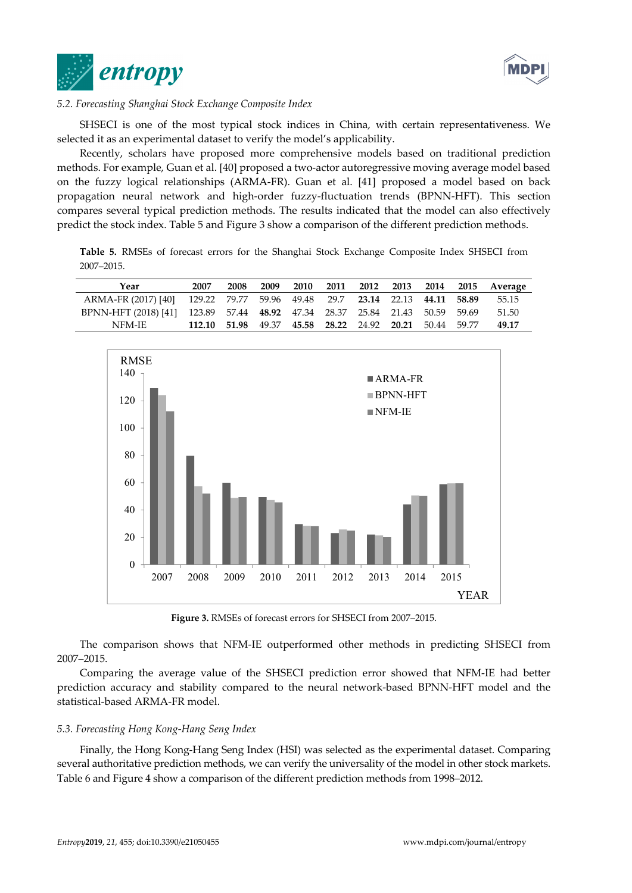



# *5.2. Forecasting Shanghai Stock Exchange Composite Index*

SHSECI is one of the most typical stock indices in China, with certain representativeness. We selected it as an experimental dataset to verify the model's applicability.

Recently, scholars have proposed more comprehensive models based on traditional prediction methods. For example, Guan et al. [40] proposed a two-actor autoregressive moving average model based on the fuzzy logical relationships (ARMA-FR). Guan et al. [41] proposed a model based on back propagation neural network and high-order fuzzy-fluctuation trends (BPNN-HFT). This section compares several typical prediction methods. The results indicated that the model can also effectively predict the stock index. Table 5 and Figure 3 show a comparison of the different prediction methods.

**Table 5.** RMSEs of forecast errors for the Shanghai Stock Exchange Composite Index SHSECI from 2007–2015.

| Year                                                                        | 2007                                                   | 2008 | 2009 2010 |  |  |  | 2011 2012 2013 2014 2015 Average |
|-----------------------------------------------------------------------------|--------------------------------------------------------|------|-----------|--|--|--|----------------------------------|
| ARMA-FR (2017) [40] 129.22 79.77 59.96 49.48 29.7 23.14 22.13 44.11 58.89   |                                                        |      |           |  |  |  | 55.15                            |
| BPNN-HFT (2018) [41] 123.89 57.44 48.92 47.34 28.37 25.84 21.43 50.59 59.69 |                                                        |      |           |  |  |  | 51.50                            |
| NFM-IE                                                                      | 112.10 51.98 49.37 45.58 28.22 24.92 20.21 50.44 59.77 |      |           |  |  |  | 49.17                            |



**Figure 3.** RMSEs of forecast errors for SHSECI from 2007–2015.

The comparison shows that NFM-IE outperformed other methods in predicting SHSECI from 2007–2015.

Comparing the average value of the SHSECI prediction error showed that NFM-IE had better prediction accuracy and stability compared to the neural network-based BPNN-HFT model and the statistical-based ARMA-FR model.

## *5.3. Forecasting Hong Kong-Hang Seng Index*

Finally, the Hong Kong-Hang Seng Index (HSI) was selected as the experimental dataset. Comparing several authoritative prediction methods, we can verify the universality of the model in other stock markets. Table 6 and Figure 4 show a comparison of the different prediction methods from 1998–2012.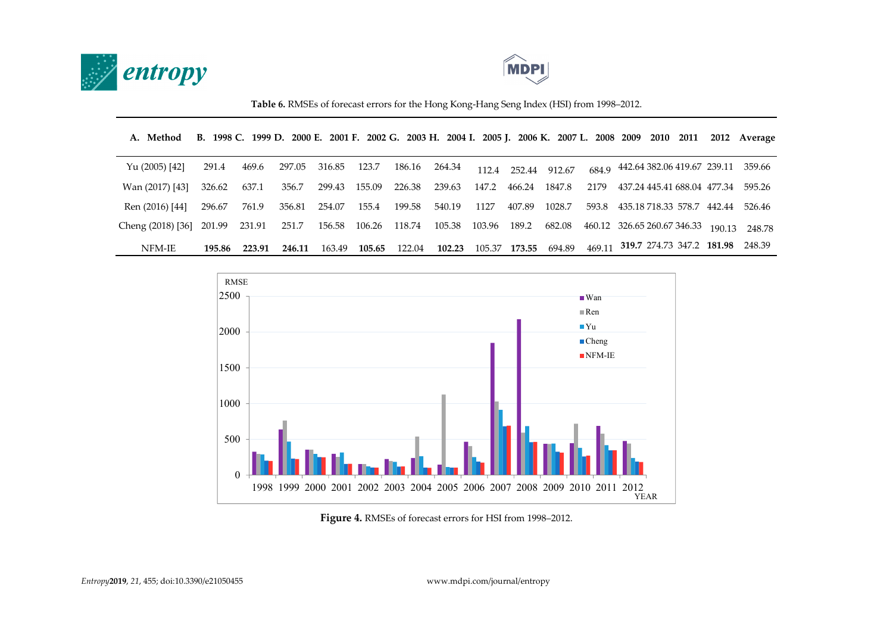



**Table 6.** RMSEs of forecast errors for the Hong Kong-Hang Seng Index (HSI) from 1998–2012.

| A. Method                |        |        |        |        |               |        |        |              |        | B. 1998 C. 1999 D. 2000 E. 2001 F. 2002 G. 2003 H. 2004 I. 2005 J. 2006 K. 2007 L. 2008 2009 2010 2011 |                             |                     |  |                             | 2012 Average |
|--------------------------|--------|--------|--------|--------|---------------|--------|--------|--------------|--------|--------------------------------------------------------------------------------------------------------|-----------------------------|---------------------|--|-----------------------------|--------------|
| Yu (2005) [42]           | 291.4  | 469.6  | 297.05 | 316.85 | 123.7         | 186.16 | 264.34 | 112.4        | 252.44 | 912.67                                                                                                 | 684.9                       |                     |  | 442.64 382.06 419.67 239.11 | 359.66       |
| Wan (2017) [43]          | 326.62 | 637.1  | 356.7  | 299.43 | 155.09        | 226.38 | 239.63 | 147.2        | 466.24 | 1847.8                                                                                                 | 2179                        |                     |  | 437.24 445.41 688.04 477.34 | 595.26       |
| Ren (2016) [44]          | 296.67 | 761.9  | 356.81 | 254.07 | 155.4         | 199.58 | 540.19 | 1127         | 407.89 | 1028.7                                                                                                 | 593.8                       | 435.18 718.33 578.7 |  | 442.44                      | 526.46       |
| Cheng (2018) [36] 201.99 |        | 231.91 | 251.7  | 156.58 | 106.26 118.74 |        | 105.38 | 103.96 189.2 |        | 682.08                                                                                                 | 460.12 326.65 260.67 346.33 |                     |  | 190.13                      | 248.78       |
| NFM-IE                   | 195.86 | 223.91 | 246.11 | 163.49 | 105.65        | 122.04 | 102.23 | 105.37       | 173.55 | 694.89                                                                                                 | 469.11                      |                     |  | 319.7 274.73 347.2 181.98   | 248.39       |



**Figure 4.** RMSEs of forecast errors for HSI from 1998–2012.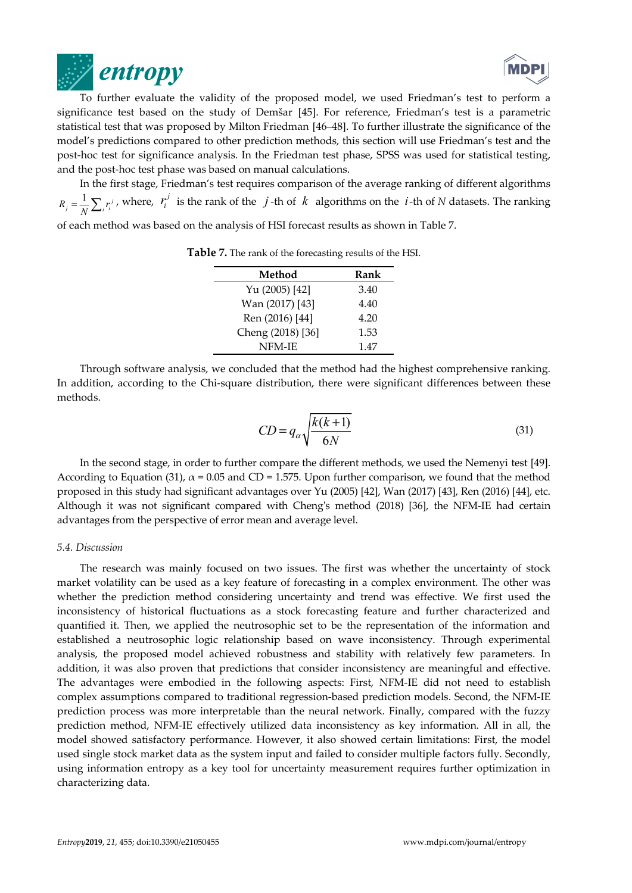



To further evaluate the validity of the proposed model, we used Friedman's test to perform a significance test based on the study of Demšar [45]. For reference, Friedman's test is a parametric statistical test that was proposed by Milton Friedman [46–48]. To further illustrate the significance of the model's predictions compared to other prediction methods, this section will use Friedman's test and the post-hoc test for significance analysis. In the Friedman test phase, SPSS was used for statistical testing, and the post-hoc test phase was based on manual calculations.

In the first stage, Friedman's test requires comparison of the average ranking of different algorithms  $R_j = \frac{1}{N} \sum_i r_i^j$ , where,  $r_i^j$  is the rank of the *j*-th of *k* algorithms on the *i*-th of *N* datasets. The ranking of each method was based on the analysis of HSI forecast results as shown in Table 7.

| Method            | Rank |
|-------------------|------|
| Yu (2005) [42]    | 3.40 |
| Wan (2017) [43]   | 4.40 |
| Ren (2016) [44]   | 4.20 |
| Cheng (2018) [36] | 1.53 |
| NFM-IE            | 147  |

**Table 7.** The rank of the forecasting results of the HSI.

Through software analysis, we concluded that the method had the highest comprehensive ranking. In addition, according to the Chi-square distribution, there were significant differences between these methods.

$$
CD = q_{\alpha} \sqrt{\frac{k(k+1)}{6N}}
$$
\n(31)

In the second stage, in order to further compare the different methods, we used the Nemenyi test [49]. According to Equation (31),  $\alpha$  = 0.05 and CD = 1.575. Upon further comparison, we found that the method proposed in this study had significant advantages over Yu (2005) [42], Wan (2017) [43], Ren (2016) [44], etc. Although it was not significant compared with Cheng's method (2018) [36], the NFM-IE had certain advantages from the perspective of error mean and average level.

## *5.4. Discussion*

The research was mainly focused on two issues. The first was whether the uncertainty of stock market volatility can be used as a key feature of forecasting in a complex environment. The other was whether the prediction method considering uncertainty and trend was effective. We first used the inconsistency of historical fluctuations as a stock forecasting feature and further characterized and quantified it. Then, we applied the neutrosophic set to be the representation of the information and established a neutrosophic logic relationship based on wave inconsistency. Through experimental analysis, the proposed model achieved robustness and stability with relatively few parameters. In addition, it was also proven that predictions that consider inconsistency are meaningful and effective. The advantages were embodied in the following aspects: First, NFM-IE did not need to establish complex assumptions compared to traditional regression-based prediction models. Second, the NFM-IE prediction process was more interpretable than the neural network. Finally, compared with the fuzzy prediction method, NFM-IE effectively utilized data inconsistency as key information. All in all, the model showed satisfactory performance. However, it also showed certain limitations: First, the model used single stock market data as the system input and failed to consider multiple factors fully. Secondly, using information entropy as a key tool for uncertainty measurement requires further optimization in characterizing data.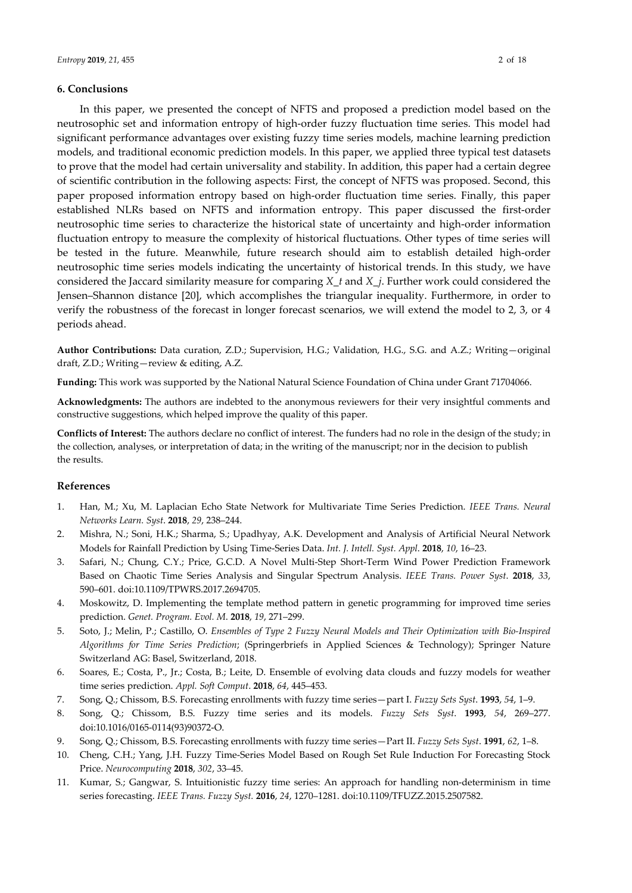## **6. Conclusions**

In this paper, we presented the concept of NFTS and proposed a prediction model based on the neutrosophic set and information entropy of high-order fuzzy fluctuation time series. This model had significant performance advantages over existing fuzzy time series models, machine learning prediction models, and traditional economic prediction models. In this paper, we applied three typical test datasets to prove that the model had certain universality and stability. In addition, this paper had a certain degree of scientific contribution in the following aspects: First, the concept of NFTS was proposed. Second, this paper proposed information entropy based on high-order fluctuation time series. Finally, this paper established NLRs based on NFTS and information entropy. This paper discussed the first-order neutrosophic time series to characterize the historical state of uncertainty and high-order information fluctuation entropy to measure the complexity of historical fluctuations. Other types of time series will be tested in the future. Meanwhile, future research should aim to establish detailed high-order neutrosophic time series models indicating the uncertainty of historical trends. In this study, we have considered the Jaccard similarity measure for comparing *X\_t* and *X\_j*. Further work could considered the Jensen–Shannon distance [20], which accomplishes the triangular inequality. Furthermore, in order to verify the robustness of the forecast in longer forecast scenarios, we will extend the model to 2, 3, or 4 periods ahead.

**Author Contributions:** Data curation, Z.D.; Supervision, H.G.; Validation, H.G., S.G. and A.Z.; Writing—original draft, Z.D.; Writing—review & editing, A.Z.

**Funding:** This work was supported by the National Natural Science Foundation of China under Grant 71704066.

**Acknowledgments:** The authors are indebted to the anonymous reviewers for their very insightful comments and constructive suggestions, which helped improve the quality of this paper.

**Conflicts of Interest:** The authors declare no conflict of interest. The funders had no role in the design of the study; in the collection, analyses, or interpretation of data; in the writing of the manuscript; nor in the decision to publish the results.

## **References**

- 1. Han, M.; Xu, M. Laplacian Echo State Network for Multivariate Time Series Prediction. *IEEE Trans. Neural Networks Learn. Syst*. **2018**, *29*, 238–244.
- 2. Mishra, N.; Soni, H.K.; Sharma, S.; Upadhyay, A.K. Development and Analysis of Artificial Neural Network Models for Rainfall Prediction by Using Time-Series Data. *Int. J. Intell. Syst. Appl*. **2018**, *10*, 16–23.
- 3. Safari, N.; Chung, C.Y.; Price, G.C.D. A Novel Multi-Step Short-Term Wind Power Prediction Framework Based on Chaotic Time Series Analysis and Singular Spectrum Analysis. *IEEE Trans. Power Syst*. **2018**, *33*, 590–601. doi:10.1109/TPWRS.2017.2694705.
- 4. Moskowitz, D. Implementing the template method pattern in genetic programming for improved time series prediction. *Genet. Program. Evol. M*. **2018**, *19*, 271–299.
- 5. Soto, J.; Melin, P.; Castillo, O. *Ensembles of Type 2 Fuzzy Neural Models and Their Optimization with Bio-Inspired Algorithms for Time Series Prediction*; (Springerbriefs in Applied Sciences & Technology); Springer Nature Switzerland AG: Basel, Switzerland, 2018.
- 6. Soares, E.; Costa, P., Jr.; Costa, B.; Leite, D. Ensemble of evolving data clouds and fuzzy models for weather time series prediction. *Appl. Soft Comput*. **2018**, *64*, 445–453.
- 7. Song, Q.; Chissom, B.S. Forecasting enrollments with fuzzy time series—part I. *Fuzzy Sets Syst*. **1993**, *54*, 1–9.
- 8. Song, Q.; Chissom, B.S. Fuzzy time series and its models. *Fuzzy Sets Syst*. **1993**, *54*, 269–277. doi:10.1016/0165-0114(93)90372-O.
- 9. Song, Q.; Chissom, B.S. Forecasting enrollments with fuzzy time series—Part II. *Fuzzy Sets Syst*. **1991**, *62*, 1–8.
- 10. Cheng, C.H.; Yang, J.H. Fuzzy Time-Series Model Based on Rough Set Rule Induction For Forecasting Stock Price. *Neurocomputing* **2018**, *302*, 33–45.
- 11. Kumar, S.; Gangwar, S. Intuitionistic fuzzy time series: An approach for handling non-determinism in time series forecasting. *IEEE Trans. Fuzzy Syst.* **2016**, *24*, 1270–1281. doi:10.1109/TFUZZ.2015.2507582.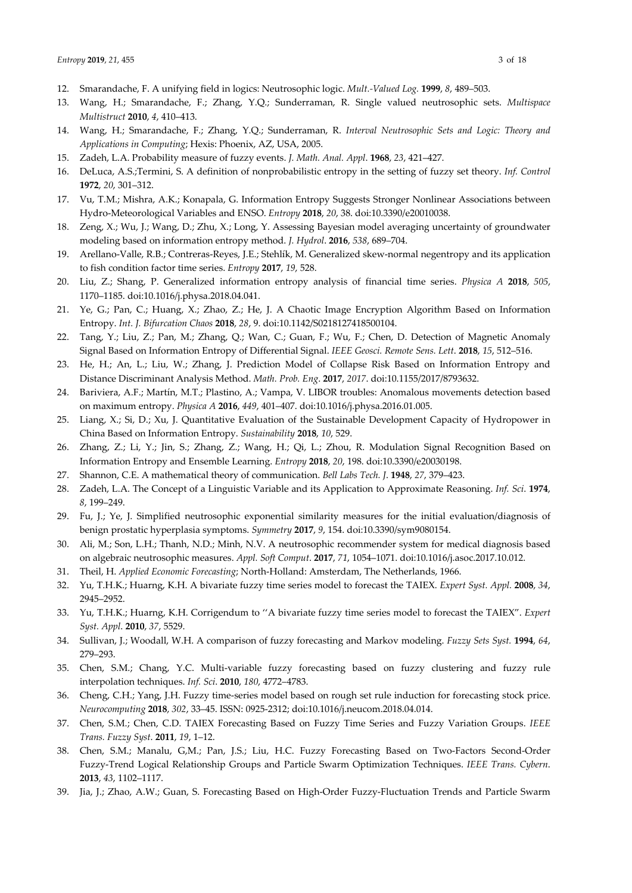- 12. Smarandache, F. A unifying field in logics: Neutrosophic logic. *Mult.-Valued Log.* **1999**, *8*, 489–503.
- 13. Wang, H.; Smarandache, F.; Zhang, Y.Q.; Sunderraman, R. Single valued neutrosophic sets. *Multispace Multistruct* **2010**, *4*, 410–413.
- 14. Wang, H.; Smarandache, F.; Zhang, Y.Q.; Sunderraman, R. *Interval Neutrosophic Sets and Logic: Theory and Applications in Computing*; Hexis: Phoenix, AZ, USA, 2005.
- 15. Zadeh, L.A. Probability measure of fuzzy events. *J. Math. Anal. Appl*. **1968**, *23*, 421–427.
- 16. DeLuca, A.S.;Termini, S. A definition of nonprobabilistic entropy in the setting of fuzzy set theory. *Inf. Control* **1972**, *20*, 301–312.
- 17. Vu, T.M.; Mishra, A.K.; Konapala, G. Information Entropy Suggests Stronger Nonlinear Associations between Hydro-Meteorological Variables and ENSO. *Entropy* **2018**, *20*, 38. doi:10.3390/e20010038.
- 18. Zeng, X.; Wu, J.; Wang, D.; Zhu, X.; Long, Y. Assessing Bayesian model averaging uncertainty of groundwater modeling based on information entropy method. *J. Hydrol*. **2016**, *538*, 689–704.
- 19. Arellano-Valle, R.B.; Contreras-Reyes, J.E.; Stehlík, M. Generalized skew-normal negentropy and its application to fish condition factor time series. *Entropy* **2017**, *19*, 528.
- 20. Liu, Z.; Shang, P. Generalized information entropy analysis of financial time series. *Physica A* **2018**, *505*, 1170–1185. doi:10.1016/j.physa.2018.04.041.
- 21. Ye, G.; Pan, C.; Huang, X.; Zhao, Z.; He, J. A Chaotic Image Encryption Algorithm Based on Information Entropy. *Int. J. Bifurcation Chaos* **2018**, *28*, 9. doi:10.1142/S0218127418500104.
- 22. Tang, Y.; Liu, Z.; Pan, M.; Zhang, Q.; Wan, C.; Guan, F.; Wu, F.; Chen, D. Detection of Magnetic Anomaly Signal Based on Information Entropy of Differential Signal. *IEEE Geosci. Remote Sens. Lett*. **2018**, *15*, 512–516.
- 23. He, H.; An, L.; Liu, W.; Zhang, J. Prediction Model of Collapse Risk Based on Information Entropy and Distance Discriminant Analysis Method. *Math. Prob. Eng*. **2017**, *2017*. doi:10.1155/2017/8793632.
- 24. Bariviera, A.F.; Martín, M.T.; Plastino, A.; Vampa, V. LIBOR troubles: Anomalous movements detection based on maximum entropy. *Physica A* **2016**, *449*, 401–407. doi:10.1016/j.physa.2016.01.005.
- 25. Liang, X.; Si, D.; Xu, J. Quantitative Evaluation of the Sustainable Development Capacity of Hydropower in China Based on Information Entropy. *Sustainability* **2018**, *10*, 529.
- 26. Zhang, Z.; Li, Y.; Jin, S.; Zhang, Z.; Wang, H.; Qi, L.; Zhou, R. Modulation Signal Recognition Based on Information Entropy and Ensemble Learning. *Entropy* **2018**, *20*, 198. doi:10.3390/e20030198.
- 27. Shannon, C.E. A mathematical theory of communication. *Bell Labs Tech. J*. **1948**, *27*, 379–423.
- 28. Zadeh, L.A. The Concept of a Linguistic Variable and its Application to Approximate Reasoning. *Inf. Sci*. **1974**, *8*, 199–249.
- 29. Fu, J.; Ye, J. Simplified neutrosophic exponential similarity measures for the initial evaluation/diagnosis of benign prostatic hyperplasia symptoms. *Symmetry* **2017**, *9*, 154. doi:10.3390/sym9080154.
- 30. Ali, M.; Son, L.H.; Thanh, N.D.; Minh, N.V. A neutrosophic recommender system for medical diagnosis based on algebraic neutrosophic measures. *Appl. Soft Comput*. **2017**, *71*, 1054–1071. doi:10.1016/j.asoc.2017.10.012.
- 31. Theil, H. *Applied Economic Forecasting*; North-Holland: Amsterdam, The Netherlands, 1966.
- 32. Yu, T.H.K.; Huarng, K.H. A bivariate fuzzy time series model to forecast the TAIEX. *Expert Syst. Appl.* **2008**, *34*, 2945–2952.
- 33. Yu, T.H.K.; Huarng, K.H. Corrigendum to ''A bivariate fuzzy time series model to forecast the TAIEX". *Expert Syst. Appl*. **2010**, *37*, 5529.
- 34. Sullivan, J.; Woodall, W.H. A comparison of fuzzy forecasting and Markov modeling. *Fuzzy Sets Syst.* **1994**, *64*, 279–293.
- 35. Chen, S.M.; Chang, Y.C. Multi-variable fuzzy forecasting based on fuzzy clustering and fuzzy rule interpolation techniques. *Inf. Sci*. **2010**, *180*, 4772–4783.
- 36. Cheng, C.H.; Yang, J.H. Fuzzy time-series model based on rough set rule induction for forecasting stock price. *Neurocomputing* **2018**, *302*, 33–45. ISSN: 0925-2312; doi:10.1016/j.neucom.2018.04.014.
- 37. Chen, S.M.; Chen, C.D. TAIEX Forecasting Based on Fuzzy Time Series and Fuzzy Variation Groups. *IEEE Trans. Fuzzy Syst*. **2011**, *19*, 1–12.
- 38. Chen, S.M.; Manalu, G,M.; Pan, J.S.; Liu, H.C. Fuzzy Forecasting Based on Two-Factors Second-Order Fuzzy-Trend Logical Relationship Groups and Particle Swarm Optimization Techniques. *IEEE Trans. Cybern*. **2013**, *43*, 1102–1117.
- 39. Jia, J.; Zhao, A.W.; Guan, S. Forecasting Based on High-Order Fuzzy-Fluctuation Trends and Particle Swarm